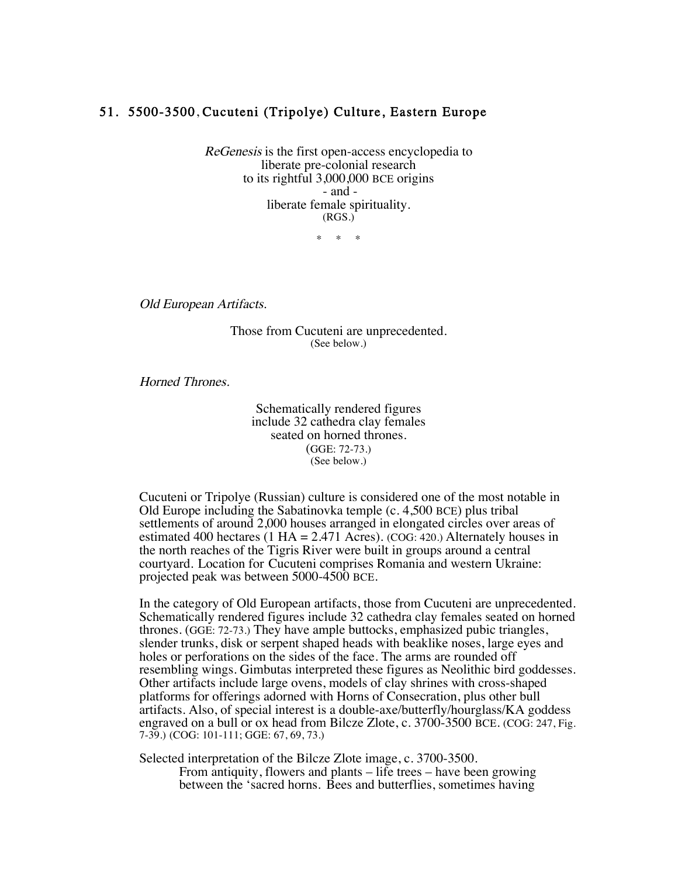## 51. 5500-3500, Cucuteni (Tripolye) Culture, Eastern Europe

ReGenesis is the first open-access encyclopedia to liberate pre-colonial research to its rightful 3,000,000 BCE origins - and liberate female spirituality. (RGS.)

 $\mathbf{r}$ 

Old European Artifacts.

Those from Cucuteni are unprecedented. (See below.)

Horned Thrones.

Schematically rendered figures include 32 cathedra clay females seated on horned thrones. (GGE: 72-73.) (See below.)

Cucuteni or Tripolye (Russian) culture is considered one of the most notable in Old Europe including the Sabatinovka temple (c. 4,500 BCE) plus tribal settlements of around 2,000 houses arranged in elongated circles over areas of estimated 400 hectares (1 HA = 2.471 Acres). (COG: 420.) Alternately houses in the north reaches of the Tigris River were built in groups around a central courtyard. Location for Cucuteni comprises Romania and western Ukraine: projected peak was between 5000-4500 BCE.

In the category of Old European artifacts, those from Cucuteni are unprecedented. Schematically rendered figures include 32 cathedra clay females seated on horned thrones. (GGE: 72-73.) They have ample buttocks, emphasized pubic triangles, slender trunks, disk or serpent shaped heads with beaklike noses, large eyes and holes or perforations on the sides of the face. The arms are rounded off resembling wings. Gimbutas interpreted these figures as Neolithic bird goddesses. Other artifacts include large ovens, models of clay shrines with cross-shaped platforms for offerings adorned with Horns of Consecration, plus other bull artifacts. Also, of special interest is a double-axe/butterfly/hourglass/KA goddess engraved on a bull or ox head from Bilcze Zlote, c. 3700-3500 BCE. (COG: 247, Fig. 7-39.) (COG: 101-111; GGE: 67, 69, 73.)

Selected interpretation of the Bilcze Zlote image, c. 3700-3500. From antiquity, flowers and plants – life trees – have been growing between the 'sacred horns. Bees and butterflies, sometimes having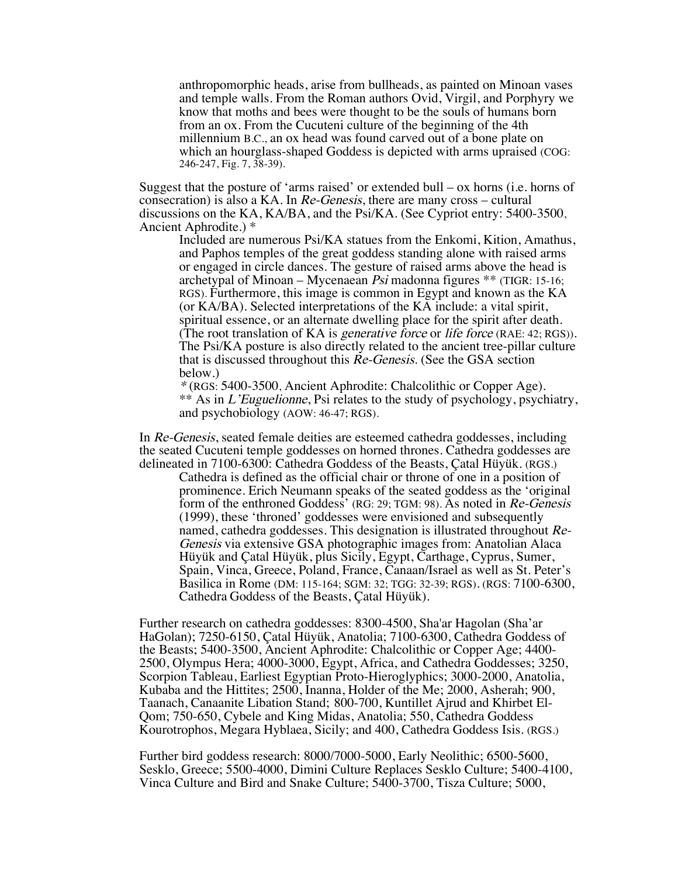anthropomorphic heads, arise from bullheads, as painted on Minoan vases and temple walls. From the Roman authors Ovid, Virgil, and Porphyry we know that moths and bees were thought to be the souls of humans born from an ox. From the Cucuteni culture of the beginning of the 4th millennium B.C., an ox head was found carved out of a bone plate on which an hourglass-shaped Goddess is depicted with arms upraised (COG: 246-247, Fig. 7, 38-39).

Suggest that the posture of 'arms raised' or extended bull  $-\alpha x$  horns (i.e. horns of consecration) is also a KA. In Re-Genesis, there are many cross – cultural discussions on the KA, KA/BA, and the Psi/KA. (See Cypriot entry: 5400-3500, Ancient Aphrodite.) \*

Included are numerous Psi/KA statues from the Enkomi, Kition, Amathus, and Paphos temples of the great goddess standing alone with raised arms or engaged in circle dances. The gesture of raised arms above the head is archetypal of Minoan – Mycenaean Psi madonna figures \*\* (TIGR: 15-16; RGS). Furthermore, this image is common in Egypt and known as the KA (or KA/BA). Selected interpretations of the KA include: a vital spirit, spiritual essence, or an alternate dwelling place for the spirit after death. (The root translation of KA is *generative force* or *life force* (RAE: 42; RGS)). The Psi/KA posture is also directly related to the ancient tree-pillar culture that is discussed throughout this Re-Genesis. (See the GSA section below.)

\* (RGS: 5400-3500, Ancient Aphrodite: Chalcolithic or Copper Age). \*\* As in L'Euguelionne, Psi relates to the study of psychology, psychiatry, and psychobiology (AOW: 46-47; RGS).

In Re-Genesis, seated female deities are esteemed cathedra goddesses, including the seated Cucuteni temple goddesses on horned thrones. Cathedra goddesses are delineated in 7100-6300: Cathedra Goddess of the Beasts, Çatal Hüyük. (RGS.)

Cathedra is defined as the official chair or throne of one in a position of prominence. Erich Neumann speaks of the seated goddess as the 'original form of the enthroned Goddess' (RG: 29; TGM: 98). As noted in Re-Genesis (1999), these 'throned' goddesses were envisioned and subsequently named, cathedra goddesses. This designation is illustrated throughout Re-Genesis via extensive GSA photographic images from: Anatolian Alaca Hüyük and Çatal Hüyük, plus Sicily, Egypt, Carthage, Cyprus, Sumer, Spain, Vinca, Greece, Poland, France, Canaan/Israel as well as St. Peter's Basilica in Rome (DM: 115-164; SGM: 32; TGG: 32-39; RGS). (RGS: 7100-6300, Cathedra Goddess of the Beasts, Çatal Hüyük).

Further research on cathedra goddesses: 8300-4500, Sha'ar Hagolan (Sha'ar HaGolan); 7250-6150, Çatal Hüyük, Anatolia; 7100-6300, Cathedra Goddess of the Beasts; 5400-3500, Ancient Aphrodite: Chalcolithic or Copper Age; 4400- 2500, Olympus Hera; 4000-3000, Egypt, Africa, and Cathedra Goddesses; 3250, Scorpion Tableau, Earliest Egyptian Proto-Hieroglyphics; 3000-2000, Anatolia, Kubaba and the Hittites; 2500, Inanna, Holder of the Me; 2000, Asherah; 900, Taanach, Canaanite Libation Stand; 800-700, Kuntillet Ajrud and Khirbet El-Qom; 750-650, Cybele and King Midas, Anatolia; 550, Cathedra Goddess Kourotrophos, Megara Hyblaea, Sicily; and 400, Cathedra Goddess Isis. (RGS.)

Further bird goddess research: 8000/7000-5000, Early Neolithic; 6500-5600, Sesklo, Greece; 5500-4000, Dimini Culture Replaces Sesklo Culture; 5400-4100, Vinca Culture and Bird and Snake Culture; 5400-3700, Tisza Culture; 5000,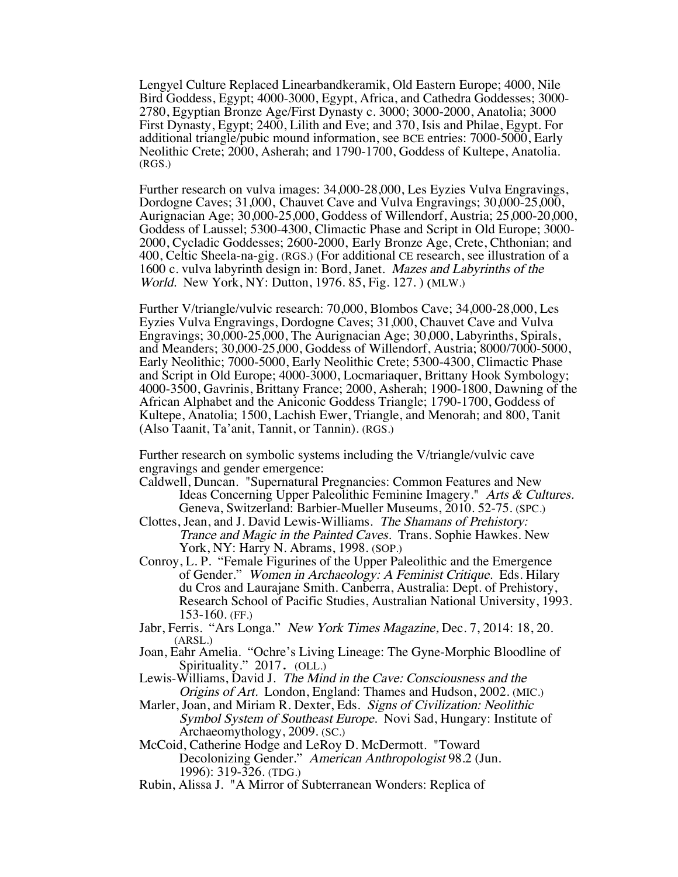Lengyel Culture Replaced Linearbandkeramik, Old Eastern Europe; 4000, Nile Bird Goddess, Egypt; 4000-3000, Egypt, Africa, and Cathedra Goddesses; 3000- 2780, Egyptian Bronze Age/First Dynasty c. 3000; 3000-2000, Anatolia; 3000 First Dynasty, Egypt; 2400, Lilith and Eve; and 370, Isis and Philae, Egypt. For additional triangle/pubic mound information, see BCE entries: 7000-5000, Early Neolithic Crete; 2000, Asherah; and 1790-1700, Goddess of Kultepe, Anatolia. (RGS.)

Further research on vulva images: 34,000-28,000, Les Eyzies Vulva Engravings, Dordogne Caves; 31,000, Chauvet Cave and Vulva Engravings; 30,000-25,000, Aurignacian Age; 30,000-25,000, Goddess of Willendorf, Austria; 25,000-20,000, Goddess of Laussel; 5300-4300, Climactic Phase and Script in Old Europe; 3000- 2000, Cycladic Goddesses; 2600-2000, Early Bronze Age, Crete, Chthonian; and 400, Celtic Sheela-na-gig. (RGS.) (For additional CE research, see illustration of a 1600 c. vulva labyrinth design in: Bord, Janet. Mazes and Labyrinths of the World. New York, NY: Dutton, 1976. 85, Fig. 127. ) (MLW.)

Further V/triangle/vulvic research: 70,000, Blombos Cave; 34,000-28,000, Les Eyzies Vulva Engravings, Dordogne Caves; 31,000, Chauvet Cave and Vulva Engravings; 30,000-25,000, The Aurignacian Age; 30,000, Labyrinths, Spirals, and Meanders; 30,000-25,000, Goddess of Willendorf, Austria; 8000/7000-5000, Early Neolithic; 7000-5000, Early Neolithic Crete; 5300-4300, Climactic Phase and Script in Old Europe; 4000-3000, Locmariaquer, Brittany Hook Symbology; 4000-3500, Gavrinis, Brittany France; 2000, Asherah; 1900-1800, Dawning of the African Alphabet and the Aniconic Goddess Triangle; 1790-1700, Goddess of Kultepe, Anatolia; 1500, Lachish Ewer, Triangle, and Menorah; and 800, Tanit (Also Taanit, Ta'anit, Tannit, or Tannin). (RGS.)

Further research on symbolic systems including the V/triangle/vulvic cave engravings and gender emergence:

- Caldwell, Duncan. "Supernatural Pregnancies: Common Features and New Ideas Concerning Upper Paleolithic Feminine Imagery." Arts & Cultures. Geneva, Switzerland: Barbier-Mueller Museums, 2010. 52-75. (SPC.)
- Clottes, Jean, and J. David Lewis-Williams. The Shamans of Prehistory: Trance and Magic in the Painted Caves. Trans. Sophie Hawkes. New York, NY: Harry N. Abrams, 1998. (SOP.)
- Conroy, L. P. "Female Figurines of the Upper Paleolithic and the Emergence of Gender." Women in Archaeology: A Feminist Critique. Eds. Hilary du Cros and Laurajane Smith. Canberra, Australia: Dept. of Prehistory, Research School of Pacific Studies, Australian National University, 1993. 153-160. (FF.)
- Jabr, Ferris. "Ars Longa." New York Times Magazine, Dec. 7, 2014: 18, 20. (ARSL.)
- Joan, Eahr Amelia. "Ochre's Living Lineage: The Gyne-Morphic Bloodline of Spirituality." 2017. (OLL.)
- Lewis-Williams, David J. The Mind in the Cave: Consciousness and the Origins of Art. London, England: Thames and Hudson, 2002. (MIC.)
- Marler, Joan, and Miriam R. Dexter, Eds. Signs of Civilization: Neolithic Symbol System of Southeast Europe. Novi Sad, Hungary: Institute of Archaeomythology, 2009. (SC.)
- McCoid, Catherine Hodge and LeRoy D. McDermott. "Toward Decolonizing Gender." American Anthropologist 98.2 (Jun. 1996): 319-326. (TDG.)
- Rubin, Alissa J. "A Mirror of Subterranean Wonders: Replica of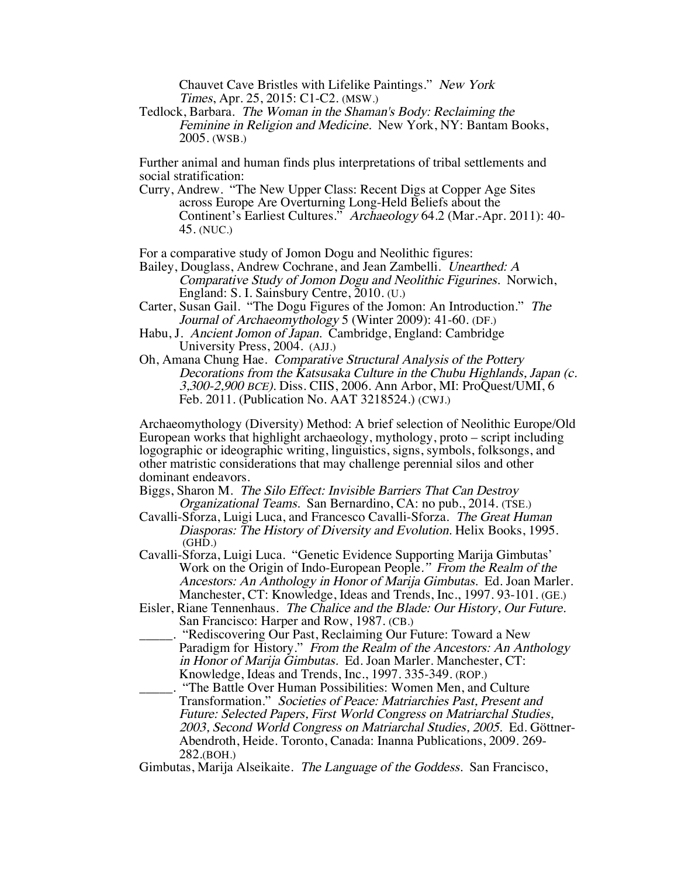Chauvet Cave Bristles with Lifelike Paintings." New York Times, Apr. 25, 2015: C1-C2. (MSW.)

Tedlock, Barbara. The Woman in the Shaman's Body: Reclaiming the Feminine in Religion and Medicine. New York, NY: Bantam Books, 2005. (WSB.)

Further animal and human finds plus interpretations of tribal settlements and social stratification:

Curry, Andrew. "The New Upper Class: Recent Digs at Copper Age Sites across Europe Are Overturning Long-Held Beliefs about the Continent's Earliest Cultures." Archaeology 64.2 (Mar.-Apr. 2011): 40- 45. (NUC.)

For a comparative study of Jomon Dogu and Neolithic figures:

Bailey, Douglass, Andrew Cochrane, and Jean Zambelli. Unearthed: A Comparative Study of Jomon Dogu and Neolithic Figurines. Norwich, England: S. I. Sainsbury Centre, 2010. (U.)

Carter, Susan Gail. "The Dogu Figures of the Jomon: An Introduction." The Journal of Archaeomythology 5 (Winter 2009): 41-60. (DF.)

- Habu, J. Ancient Jomon of Japan. Cambridge, England: Cambridge University Press, 2004. (AJJ.)
- Oh, Amana Chung Hae. Comparative Structural Analysis of the Pottery Decorations from the Katsusaka Culture in the Chubu Highlands, Japan (c. 3,300-2,900 BCE). Diss. CIIS, 2006. Ann Arbor, MI: ProQuest/UMI, 6 Feb. 2011. (Publication No. AAT 3218524.) (CWJ.)

Archaeomythology (Diversity) Method: A brief selection of Neolithic Europe/Old European works that highlight archaeology, mythology, proto – script including logographic or ideographic writing, linguistics, signs, symbols, folksongs, and other matristic considerations that may challenge perennial silos and other dominant endeavors.

Biggs, Sharon M. The Silo Effect: Invisible Barriers That Can Destroy Organizational Teams. San Bernardino, CA: no pub., 2014. (TSE.)

- Cavalli-Sforza, Luigi Luca, and Francesco Cavalli-Sforza. The Great Human Diasporas: The History of Diversity and Evolution. Helix Books, 1995. (GHD.)
- Cavalli-Sforza, Luigi Luca. "Genetic Evidence Supporting Marija Gimbutas' Work on the Origin of Indo-European People." From the Realm of the Ancestors: An Anthology in Honor of Marija Gimbutas. Ed. Joan Marler. Manchester, CT: Knowledge, Ideas and Trends, Inc., 1997. 93-101. (GE.)
- Eisler, Riane Tennenhaus. The Chalice and the Blade: Our History, Our Future. San Francisco: Harper and Row, 1987. (CB.)
- "Rediscovering Our Past, Reclaiming Our Future: Toward a New Paradigm for History." From the Realm of the Ancestors: An Anthology in Honor of Marija Gimbutas. Ed. Joan Marler. Manchester, CT: Knowledge, Ideas and Trends, Inc., 1997. 335-349. (ROP.)
	- \_\_\_\_\_. "The Battle Over Human Possibilities: Women Men, and Culture Transformation." Societies of Peace: Matriarchies Past, Present and Future: Selected Papers, First World Congress on Matriarchal Studies, 2003, Second World Congress on Matriarchal Studies, 2005. Ed. Göttner-Abendroth, Heide. Toronto, Canada: Inanna Publications, 2009. 269- 282.(BOH.)

Gimbutas, Marija Alseikaite. The Language of the Goddess. San Francisco,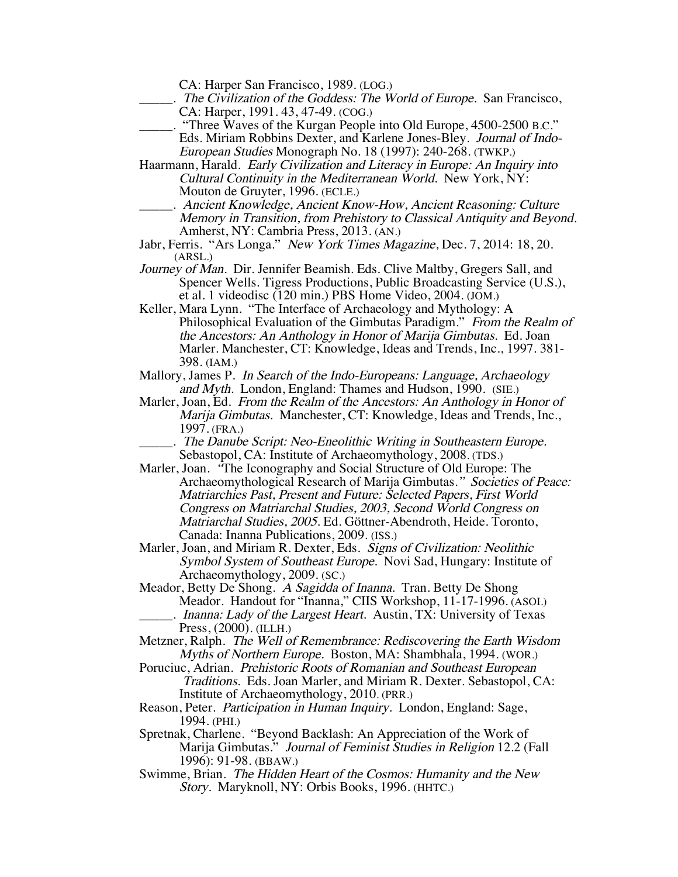CA: Harper San Francisco, 1989. (LOG.)

- \_\_\_\_\_. The Civilization of the Goddess: The World of Europe. San Francisco, CA: Harper, 1991. 43, 47-49. (COG.)
- "Three Waves of the Kurgan People into Old Europe, 4500-2500 B.C." Eds. Miriam Robbins Dexter, and Karlene Jones-Bley. Journal of Indo-European Studies Monograph No. 18 (1997): 240-268. (TWKP.)
- Haarmann, Harald. Early Civilization and Literacy in Europe: An Inquiry into Cultural Continuity in the Mediterranean World. New York, NY: Mouton de Gruyter, 1996. (ECLE.)
	- \_\_\_\_\_. Ancient Knowledge, Ancient Know-How, Ancient Reasoning: Culture Memory in Transition, from Prehistory to Classical Antiquity and Beyond. Amherst, NY: Cambria Press, 2013. (AN.)
- Jabr, Ferris. "Ars Longa." New York Times Magazine, Dec. 7, 2014: 18, 20. (ARSL.)
- Journey of Man. Dir. Jennifer Beamish. Eds. Clive Maltby, Gregers Sall, and Spencer Wells. Tigress Productions, Public Broadcasting Service (U.S.), et al. 1 videodisc (120 min.) PBS Home Video, 2004. (JOM.)
- Keller, Mara Lynn. "The Interface of Archaeology and Mythology: A Philosophical Evaluation of the Gimbutas Paradigm." From the Realm of the Ancestors: An Anthology in Honor of Marija Gimbutas. Ed. Joan Marler. Manchester, CT: Knowledge, Ideas and Trends, Inc., 1997. 381- 398. (IAM.)
- Mallory, James P. In Search of the Indo-Europeans: Language, Archaeology and Myth. London, England: Thames and Hudson, 1990. (SIE.)
- Marler, Joan, Ed. From the Realm of the Ancestors: An Anthology in Honor of Marija Gimbutas. Manchester, CT: Knowledge, Ideas and Trends, Inc., 1997. (FRA.)
- The Danube Script: Neo-Eneolithic Writing in Southeastern Europe. Sebastopol, CA: Institute of Archaeomythology, 2008. (TDS.)
- Marler, Joan. "The Iconography and Social Structure of Old Europe: The Archaeomythological Research of Marija Gimbutas." Societies of Peace: Matriarchies Past, Present and Future: Selected Papers, First World Congress on Matriarchal Studies, 2003, Second World Congress on Matriarchal Studies, 2005. Ed. Göttner-Abendroth, Heide. Toronto, Canada: Inanna Publications, 2009. (ISS.)
- Marler, Joan, and Miriam R. Dexter, Eds. Signs of Civilization: Neolithic Symbol System of Southeast Europe. Novi Sad, Hungary: Institute of Archaeomythology, 2009. (SC.)
- Meador, Betty De Shong. A Sagidda of Inanna. Tran. Betty De Shong Meador. Handout for "Inanna," CIIS Workshop, 11-17-1996. (ASOI.) . Inanna: Lady of the Largest Heart. Austin, TX: University of Texas Press, (2000). (ILLH.)
- Metzner, Ralph. The Well of Remembrance: Rediscovering the Earth Wisdom Myths of Northern Europe. Boston, MA: Shambhala, 1994. (WOR.)
- Poruciuc, Adrian. Prehistoric Roots of Romanian and Southeast European Traditions. Eds. Joan Marler, and Miriam R. Dexter. Sebastopol, CA: Institute of Archaeomythology, 2010. (PRR.)
- Reason, Peter. Participation in Human Inquiry. London, England: Sage, 1994. (PHI.)
- Spretnak, Charlene. "Beyond Backlash: An Appreciation of the Work of Marija Gimbutas." Journal of Feminist Studies in Religion 12.2 (Fall 1996): 91-98. (BBAW.)
- Swimme, Brian. The Hidden Heart of the Cosmos: Humanity and the New Story. Maryknoll, NY: Orbis Books, 1996. (HHTC.)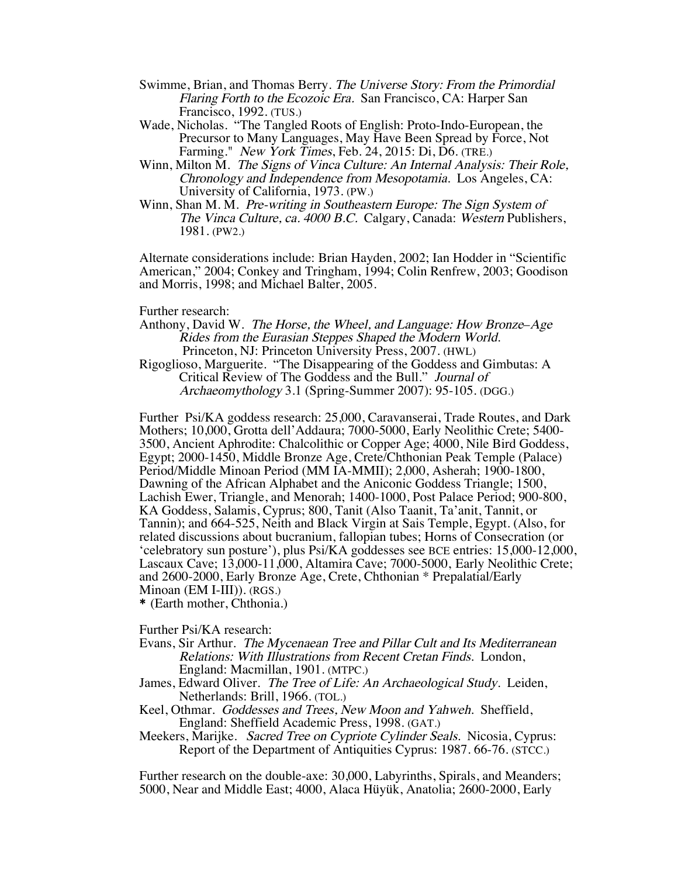- Swimme, Brian, and Thomas Berry. The Universe Story: From the Primordial Flaring Forth to the Ecozoic Era. San Francisco, CA: Harper San Francisco, 1992. (TUS.)
- Wade, Nicholas. "The Tangled Roots of English: Proto-Indo-European, the Precursor to Many Languages, May Have Been Spread by Force, Not Farming." New York Times, Feb. 24, 2015: Di, D6. (TRE.)
- Winn, Milton M. The Signs of Vinca Culture: An Internal Analysis: Their Role, Chronology and Independence from Mesopotamia. Los Angeles, CA: University of California, 1973. (PW.)
- Winn, Shan M. M. Pre-writing in Southeastern Europe: The Sign System of The Vinca Culture, ca. 4000 B.C. Calgary, Canada: Western Publishers, 1981. (PW2.)

Alternate considerations include: Brian Hayden, 2002; Ian Hodder in "Scientific American," 2004; Conkey and Tringham, 1994; Colin Renfrew, 2003; Goodison and Morris, 1998; and Michael Balter, 2005.

## Further research:

Anthony, David W. The Horse, the Wheel, and Language: How Bronze–Age Rides from the Eurasian Steppes Shaped the Modern World. Princeton, NJ: Princeton University Press, 2007. (HWL)

Rigoglioso, Marguerite. "The Disappearing of the Goddess and Gimbutas: A Critical Review of The Goddess and the Bull." Journal of Archaeomythology 3.1 (Spring-Summer 2007): 95-105. (DGG.)

Further Psi/KA goddess research: 25,000, Caravanserai, Trade Routes, and Dark Mothers; 10,000, Grotta dell'Addaura; 7000-5000, Early Neolithic Crete; 5400- 3500, Ancient Aphrodite: Chalcolithic or Copper Age; 4000, Nile Bird Goddess, Egypt; 2000-1450, Middle Bronze Age, Crete/Chthonian Peak Temple (Palace) Period/Middle Minoan Period (MM IA-MMII); 2,000, Asherah; 1900-1800, Dawning of the African Alphabet and the Aniconic Goddess Triangle; 1500, Lachish Ewer, Triangle, and Menorah; 1400-1000, Post Palace Period; 900-800, KA Goddess, Salamis, Cyprus; 800, Tanit (Also Taanit, Ta'anit, Tannit, or Tannin); and 664-525, Neith and Black Virgin at Sais Temple, Egypt. (Also, for related discussions about bucranium, fallopian tubes; Horns of Consecration (or 'celebratory sun posture'), plus Psi/KA goddesses see BCE entries: 15,000-12,000, Lascaux Cave; 13,000-11,000, Altamira Cave; 7000-5000, Early Neolithic Crete; and 2600-2000, Early Bronze Age, Crete, Chthonian \* Prepalatial/Early Minoan (EM I-III)). (RGS.)

\* (Earth mother, Chthonia.)

Further Psi/KA research:

- Evans, Sir Arthur. The Mycenaean Tree and Pillar Cult and Its Mediterranean Relations: With Illustrations from Recent Cretan Finds. London, England: Macmillan, 1901. (MTPC.)
- James, Edward Oliver. The Tree of Life: An Archaeological Study. Leiden, Netherlands: Brill, 1966. (TOL.)
- Keel, Othmar. Goddesses and Trees, New Moon and Yahweh. Sheffield, England: Sheffield Academic Press, 1998. (GAT.)
- Meekers, Marijke. Sacred Tree on Cypriote Cylinder Seals. Nicosia, Cyprus: Report of the Department of Antiquities Cyprus: 1987. 66-76. (STCC.)

Further research on the double-axe: 30,000, Labyrinths, Spirals, and Meanders; 5000, Near and Middle East; 4000, Alaca Hüyük, Anatolia; 2600-2000, Early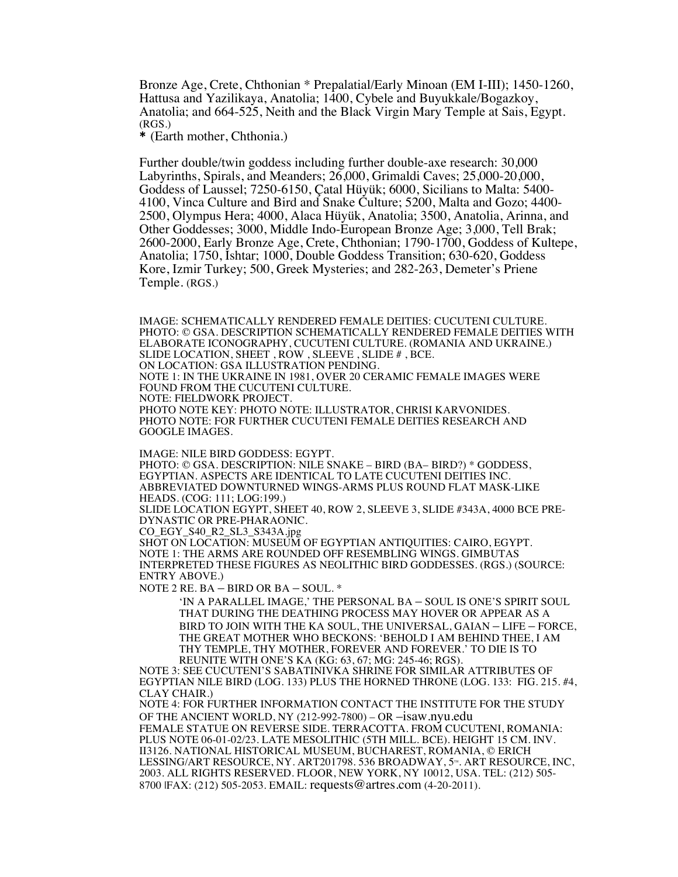Bronze Age, Crete, Chthonian \* Prepalatial/Early Minoan (EM I-III); 1450-1260, Hattusa and Yazilikaya, Anatolia; 1400, Cybele and Buyukkale/Bogazkoy, Anatolia; and 664-525, Neith and the Black Virgin Mary Temple at Sais, Egypt. (RGS.)

\* (Earth mother, Chthonia.)

Further double/twin goddess including further double-axe research: 30,000 Labyrinths, Spirals, and Meanders; 26,000, Grimaldi Caves; 25,000-20,000, Goddess of Laussel; 7250-6150, Çatal Hüyük; 6000, Sicilians to Malta: 5400- 4100, Vinca Culture and Bird and Snake Culture; 5200, Malta and Gozo; 4400- 2500, Olympus Hera; 4000, Alaca Hüyük, Anatolia; 3500, Anatolia, Arinna, and Other Goddesses; 3000, Middle Indo-European Bronze Age; 3,000, Tell Brak; 2600-2000, Early Bronze Age, Crete, Chthonian; 1790-1700, Goddess of Kultepe, Anatolia; 1750, Ishtar; 1000, Double Goddess Transition; 630-620, Goddess Kore, Izmir Turkey; 500, Greek Mysteries; and 282-263, Demeter's Priene Temple. (RGS.)

IMAGE: SCHEMATICALLY RENDERED FEMALE DEITIES: CUCUTENI CULTURE. PHOTO: © GSA. DESCRIPTION SCHEMATICALLY RENDERED FEMALE DEITIES WITH ELABORATE ICONOGRAPHY, CUCUTENI CULTURE. (ROMANIA AND UKRAINE.) SLIDE LOCATION, SHEET , ROW , SLEEVE , SLIDE # , BCE. ON LOCATION: GSA ILLUSTRATION PENDING. NOTE 1: IN THE UKRAINE IN 1981, OVER 20 CERAMIC FEMALE IMAGES WERE FOUND FROM THE CUCUTENI CULTURE. NOTE: FIELDWORK PROJECT. PHOTO NOTE KEY: PHOTO NOTE: ILLUSTRATOR, CHRISI KARVONIDES. PHOTO NOTE: FOR FURTHER CUCUTENI FEMALE DEITIES RESEARCH AND GOOGLE IMAGES.

IMAGE: NILE BIRD GODDESS: EGYPT.

PHOTO: © GSA. DESCRIPTION: NILE SNAKE – BIRD (BA– BIRD?) \* GODDESS, EGYPTIAN. ASPECTS ARE IDENTICAL TO LATE CUCUTENI DEITIES INC. ABBREVIATED DOWNTURNED WINGS-ARMS PLUS ROUND FLAT MASK-LIKE HEADS. (COG: 111; LOG:199.)

SLIDE LOCATION EGYPT, SHEET 40, ROW 2, SLEEVE 3, SLIDE #343A, 4000 BCE PRE-DYNASTIC OR PRE-PHARAONIC.

CO\_EGY\_S40\_R2\_SL3\_S343A.jpg

SHOT ON LOCATION: MUSEUM OF EGYPTIAN ANTIQUITIES: CAIRO, EGYPT. NOTE 1: THE ARMS ARE ROUNDED OFF RESEMBLING WINGS. GIMBUTAS INTERPRETED THESE FIGURES AS NEOLITHIC BIRD GODDESSES. (RGS.) (SOURCE: ENTRY ABOVE.)

NOTE 2 RE. BA – BIRD OR BA – SOUL. \*

'IN A PARALLEL IMAGE,' THE PERSONAL BA – SOUL IS ONE'S SPIRIT SOUL THAT DURING THE DEATHING PROCESS MAY HOVER OR APPEAR AS A BIRD TO JOIN WITH THE KA SOUL, THE UNIVERSAL, GAIAN – LIFE – FORCE, THE GREAT MOTHER WHO BECKONS: 'BEHOLD I AM BEHIND THEE, I AM THY TEMPLE, THY MOTHER, FOREVER AND FOREVER.' TO DIE IS TO REUNITE WITH ONE'S KA (KG: 63, 67; MG: 245-46; RGS).

NOTE 3: SEE CUCUTENI'S SABATINIVKA SHRINE FOR SIMILAR ATTRIBUTES OF EGYPTIAN NILE BIRD (LOG. 133) PLUS THE HORNED THRONE (LOG. 133: FIG. 215. #4, CLAY CHAIR.)

NOTE 4: FOR FURTHER INFORMATION CONTACT THE INSTITUTE FOR THE STUDY OF THE ANCIENT WORLD, NY (212-992-7800) – OR –isaw.nyu.edu

FEMALE STATUE ON REVERSE SIDE. TERRACOTTA. FROM CUCUTENI, ROMANIA: PLUS NOTE 06-01-02/23. LATE MESOLITHIC (5TH MILL. BCE). HEIGHT 15 CM. INV. II3126. NATIONAL HISTORICAL MUSEUM, BUCHAREST, ROMANIA, © ERICH LESSING/ART RESOURCE, NY. ART201798. 536 BROADWAY, 5<sup>th</sup>. ART RESOURCE, INC, 2003. ALL RIGHTS RESERVED. FLOOR, NEW YORK, NY 10012, USA. TEL: (212) 505- 8700 |FAX: (212) 505-2053. EMAIL: requests@artres.com (4-20-2011).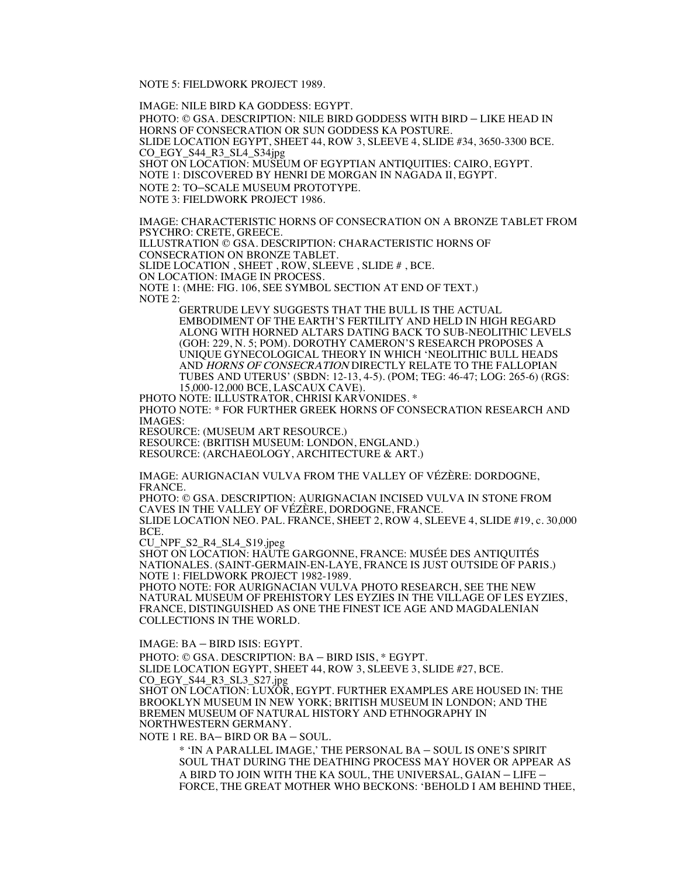NOTE 5: FIELDWORK PROJECT 1989.

IMAGE: NILE BIRD KA GODDESS: EGYPT.

PHOTO: © GSA. DESCRIPTION: NILE BIRD GODDESS WITH BIRD – LIKE HEAD IN HORNS OF CONSECRATION OR SUN GODDESS KA POSTURE. SLIDE LOCATION EGYPT, SHEET 44, ROW 3, SLEEVE 4, SLIDE #34, 3650-3300 BCE. CO\_EGY\_S44\_R3\_SL4\_S34jpg SHOT ON LOCATION: MUSEUM OF EGYPTIAN ANTIQUITIES: CAIRO, EGYPT. NOTE 1: DISCOVERED BY HENRI DE MORGAN IN NAGADA II, EGYPT. NOTE 2: TO–SCALE MUSEUM PROTOTYPE. NOTE 3: FIELDWORK PROJECT 1986.

IMAGE: CHARACTERISTIC HORNS OF CONSECRATION ON A BRONZE TABLET FROM PSYCHRO: CRETE, GREECE.

ILLUSTRATION © GSA. DESCRIPTION: CHARACTERISTIC HORNS OF

CONSECRATION ON BRONZE TABLET. SLIDE LOCATION , SHEET , ROW, SLEEVE , SLIDE # , BCE.

ON LOCATION: IMAGE IN PROCESS.

NOTE 1: (MHE: FIG. 106, SEE SYMBOL SECTION AT END OF TEXT.) NOTE 2:

> GERTRUDE LEVY SUGGESTS THAT THE BULL IS THE ACTUAL EMBODIMENT OF THE EARTH'S FERTILITY AND HELD IN HIGH REGARD ALONG WITH HORNED ALTARS DATING BACK TO SUB-NEOLITHIC LEVELS (GOH: 229, N. 5; POM). DOROTHY CAMERON'S RESEARCH PROPOSES A UNIQUE GYNECOLOGICAL THEORY IN WHICH 'NEOLITHIC BULL HEADS AND HORNS OF CONSECRATION DIRECTLY RELATE TO THE FALLOPIAN TUBES AND UTERUS' (SBDN: 12-13, 4-5). (POM; TEG: 46-47; LOG: 265-6) (RGS: 15,000-12,000 BCE, LASCAUX CAVE).

PHOTO NOTE: ILLUSTRATOR, CHRISI KARVONIDES. \* PHOTO NOTE: \* FOR FURTHER GREEK HORNS OF CONSECRATION RESEARCH AND IMAGES: RESOURCE: (MUSEUM ART RESOURCE.)

RESOURCE: (BRITISH MUSEUM: LONDON, ENGLAND.)

RESOURCE: (ARCHAEOLOGY, ARCHITECTURE & ART.)

IMAGE: AURIGNACIAN VULVA FROM THE VALLEY OF VÉZÈRE: DORDOGNE, FRANCE.

PHOTO: © GSA. DESCRIPTION: AURIGNACIAN INCISED VULVA IN STONE FROM CAVES IN THE VALLEY OF VÉZÈRE, DORDOGNE, FRANCE. SLIDE LOCATION NEO. PAL. FRANCE, SHEET 2, ROW 4, SLEEVE 4, SLIDE #19, c. 30,000 BCE.

CU\_NPF\_S2\_R4\_SL4\_S19.jpeg

SHOT ON LOCATION: HAUTE GARGONNE, FRANCE: MUSÉE DES ANTIQUITÉS NATIONALES. (SAINT-GERMAIN-EN-LAYE, FRANCE IS JUST OUTSIDE OF PARIS.) NOTE 1: FIELDWORK PROJECT 1982-1989.

PHOTO NOTE: FOR AURIGNACIAN VULVA PHOTO RESEARCH, SEE THE NEW NATURAL MUSEUM OF PREHISTORY LES EYZIES IN THE VILLAGE OF LES EYZIES, FRANCE, DISTINGUISHED AS ONE THE FINEST ICE AGE AND MAGDALENIAN COLLECTIONS IN THE WORLD.

IMAGE: BA – BIRD ISIS: EGYPT.

PHOTO: © GSA. DESCRIPTION: BA – BIRD ISIS, \* EGYPT.

SLIDE LOCATION EGYPT, SHEET 44, ROW 3, SLEEVE 3, SLIDE #27, BCE. CO\_EGY\_S44\_R3\_SL3\_S27.jpg

SHOT ON LOCATION: LUXOR, EGYPT. FURTHER EXAMPLES ARE HOUSED IN: THE BROOKLYN MUSEUM IN NEW YORK; BRITISH MUSEUM IN LONDON; AND THE BREMEN MUSEUM OF NATURAL HISTORY AND ETHNOGRAPHY IN NORTHWESTERN GERMANY.

NOTE 1 RE. BA– BIRD OR BA – SOUL.

\* 'IN A PARALLEL IMAGE,' THE PERSONAL BA – SOUL IS ONE'S SPIRIT SOUL THAT DURING THE DEATHING PROCESS MAY HOVER OR APPEAR AS A BIRD TO JOIN WITH THE KA SOUL, THE UNIVERSAL, GAIAN – LIFE – FORCE, THE GREAT MOTHER WHO BECKONS: 'BEHOLD I AM BEHIND THEE,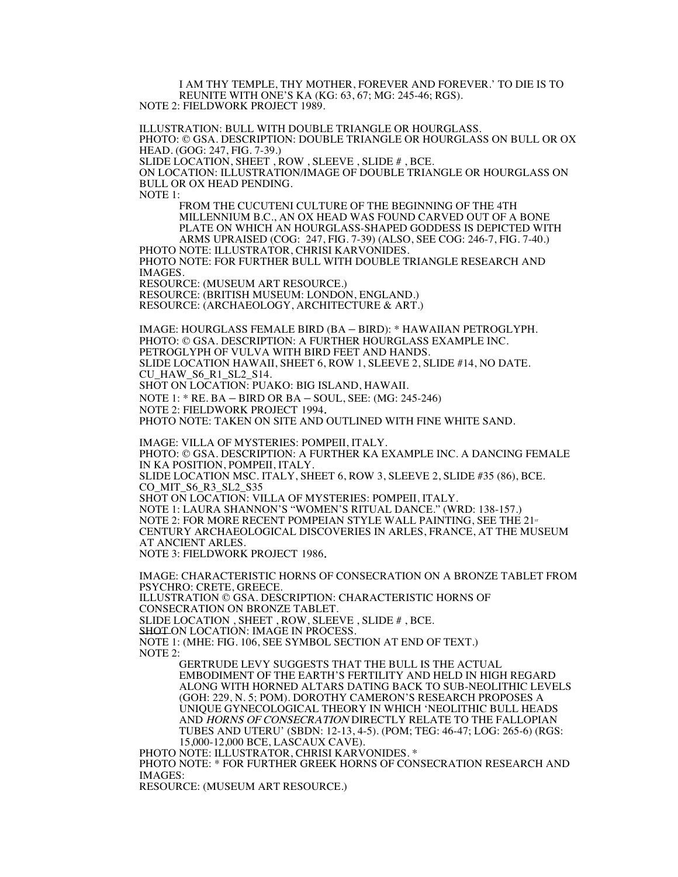I AM THY TEMPLE, THY MOTHER, FOREVER AND FOREVER.' TO DIE IS TO REUNITE WITH ONE'S KA (KG: 63, 67; MG: 245-46; RGS). NOTE 2: FIELDWORK PROJECT 1989.

ILLUSTRATION: BULL WITH DOUBLE TRIANGLE OR HOURGLASS. PHOTO: © GSA. DESCRIPTION: DOUBLE TRIANGLE OR HOURGLASS ON BULL OR OX HEAD. (GOG: 247, FIG. 7-39.) SLIDE LOCATION, SHEET , ROW , SLEEVE , SLIDE # , BCE. ON LOCATION: ILLUSTRATION/IMAGE OF DOUBLE TRIANGLE OR HOURGLASS ON BULL OR OX HEAD PENDING. NOTE 1: FROM THE CUCUTENI CULTURE OF THE BEGINNING OF THE 4TH MILLENNIUM B.C., AN OX HEAD WAS FOUND CARVED OUT OF A BONE PLATE ON WHICH AN HOURGLASS-SHAPED GODDESS IS DEPICTED WITH ARMS UPRAISED (COG: 247, FIG. 7-39) (ALSO, SEE COG: 246-7, FIG. 7-40.) PHOTO NOTE: ILLUSTRATOR, CHRISI KARVONIDES. PHOTO NOTE: FOR FURTHER BULL WITH DOUBLE TRIANGLE RESEARCH AND IMAGES. RESOURCE: (MUSEUM ART RESOURCE.) RESOURCE: (BRITISH MUSEUM: LONDON, ENGLAND.) RESOURCE: (ARCHAEOLOGY, ARCHITECTURE & ART.) IMAGE: HOURGLASS FEMALE BIRD (BA – BIRD): \* HAWAIIAN PETROGLYPH. PHOTO: © GSA. DESCRIPTION: A FURTHER HOURGLASS EXAMPLE INC. PETROGLYPH OF VULVA WITH BIRD FEET AND HANDS. SLIDE LOCATION HAWAII, SHEET 6, ROW 1, SLEEVE 2, SLIDE #14, NO DATE. CU\_HAW\_S6\_R1\_SL2\_S14. SHOT ON LOCATION: PUAKO: BIG ISLAND, HAWAII. NOTE 1: \* RE. BA – BIRD OR BA – SOUL, SEE: (MG: 245-246) NOTE 2: FIELDWORK PROJECT 1994. PHOTO NOTE: TAKEN ON SITE AND OUTLINED WITH FINE WHITE SAND. IMAGE: VILLA OF MYSTERIES: POMPEII, ITALY. PHOTO: © GSA. DESCRIPTION: A FURTHER KA EXAMPLE INC. A DANCING FEMALE IN KA POSITION, POMPEII, ITALY. SLIDE LOCATION MSC. ITALY, SHEET 6, ROW 3, SLEEVE 2, SLIDE #35 (86), BCE. CO\_MIT\_S6\_R3\_SL2\_S35 SHOT ON LOCATION: VILLA OF MYSTERIES: POMPEII, ITALY. NOTE 1: LAURA SHANNON'S "WOMEN'S RITUAL DANCE." (WRD: 138-157.) NOTE 2: FOR MORE RECENT POMPEIAN STYLE WALL PAINTING, SEE THE  $21<sup>st</sup>$ CENTURY ARCHAEOLOGICAL DISCOVERIES IN ARLES, FRANCE, AT THE MUSEUM AT ANCIENT ARLES. NOTE 3: FIELDWORK PROJECT 1986. IMAGE: CHARACTERISTIC HORNS OF CONSECRATION ON A BRONZE TABLET FROM PSYCHRO: CRETE, GREECE. ILLUSTRATION © GSA. DESCRIPTION: CHARACTERISTIC HORNS OF CONSECRATION ON BRONZE TABLET. SLIDE LOCATION , SHEET , ROW, SLEEVE , SLIDE # , BCE. SHOT ON LOCATION: IMAGE IN PROCESS. NOTE 1: (MHE: FIG. 106, SEE SYMBOL SECTION AT END OF TEXT.) NOTE 2: GERTRUDE LEVY SUGGESTS THAT THE BULL IS THE ACTUAL EMBODIMENT OF THE EARTH'S FERTILITY AND HELD IN HIGH REGARD ALONG WITH HORNED ALTARS DATING BACK TO SUB-NEOLITHIC LEVELS (GOH: 229, N. 5; POM). DOROTHY CAMERON'S RESEARCH PROPOSES A UNIQUE GYNECOLOGICAL THEORY IN WHICH 'NEOLITHIC BULL HEADS AND HORNS OF CONSECRATION DIRECTLY RELATE TO THE FALLOPIAN

TUBES AND UTERU' (SBDN: 12-13, 4-5). (POM; TEG: 46-47; LOG: 265-6) (RGS:

15,000-12,000 BCE, LASCAUX CAVE).<br>PHOTO NOTE: ILLUSTRATOR, CHRISI KARVONIDES. \* PHOTO NOTE:  $*$  FOR FURTHER GREEK HORNS OF CONSECRATION RESEARCH AND IMAGES:

RESOURCE: (MUSEUM ART RESOURCE.)